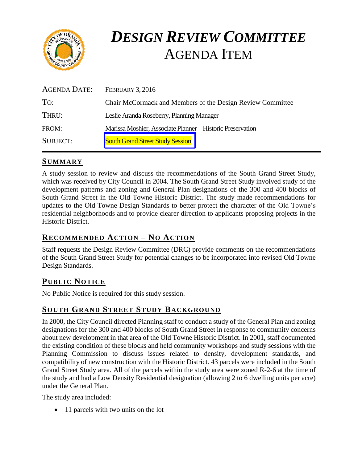

# *DESIGN REVIEW COMMITTEE* AGENDA ITEM

| <b>AGENDA DATE:</b> | <b>FEBRUARY 3, 2016</b>                                    |
|---------------------|------------------------------------------------------------|
| TO:                 | Chair McCormack and Members of the Design Review Committee |
| THRU:               | Leslie Aranda Roseberry, Planning Manager                  |
| FROM:               | Marissa Moshier, Associate Planner - Historic Preservation |
| <b>SUBJECT:</b>     | <b>South Grand Street Study Session</b>                    |

# **SUMMARY**

A study session to review and discuss the recommendations of the South Grand Street Study, which was received by City Council in 2004. The South Grand Street Study involved study of the development patterns and zoning and General Plan designations of the 300 and 400 blocks of South Grand Street in the Old Towne Historic District. The study made recommendations for updates to the Old Towne Design Standards to better protect the character of the Old Towne's residential neighborhoods and to provide clearer direction to applicants proposing projects in the Historic District.

# **RECOMMENDED ACTION – NO ACTION**

Staff requests the Design Review Committee (DRC) provide comments on the recommendations of the South Grand Street Study for potential changes to be incorporated into revised Old Towne Design Standards.

# **PUB LIC NOTICE**

No Public Notice is required for this study session.

## **SOUTH GRAND STREET STUDY BACKGROUND**

In 2000, the City Council directed Planning staff to conduct a study of the General Plan and zoning designations for the 300 and 400 blocks of South Grand Street in response to community concerns about new development in that area of the Old Towne Historic District. In 2001, staff documented the existing condition of these blocks and held community workshops and study sessions with the Planning Commission to discuss issues related to density, development standards, and compatibility of new construction with the Historic District. 43 parcels were included in the South Grand Street Study area. All of the parcels within the study area were zoned R-2-6 at the time of the study and had a Low Density Residential designation (allowing 2 to 6 dwelling units per acre) under the General Plan.

The study area included:

• 11 parcels with two units on the lot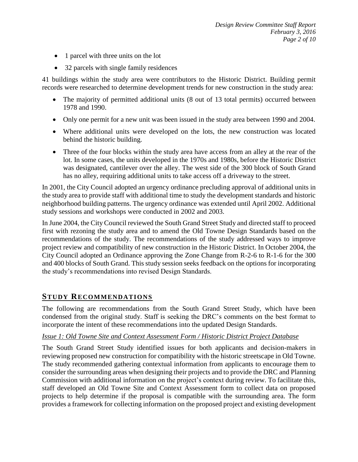- 1 parcel with three units on the lot
- 32 parcels with single family residences

41 buildings within the study area were contributors to the Historic District. Building permit records were researched to determine development trends for new construction in the study area:

- The majority of permitted additional units (8 out of 13 total permits) occurred between 1978 and 1990.
- Only one permit for a new unit was been issued in the study area between 1990 and 2004.
- Where additional units were developed on the lots, the new construction was located behind the historic building.
- Three of the four blocks within the study area have access from an alley at the rear of the lot. In some cases, the units developed in the 1970s and 1980s, before the Historic District was designated, cantilever over the alley. The west side of the 300 block of South Grand has no alley, requiring additional units to take access off a driveway to the street.

In 2001, the City Council adopted an urgency ordinance precluding approval of additional units in the study area to provide staff with additional time to study the development standards and historic neighborhood building patterns. The urgency ordinance was extended until April 2002. Additional study sessions and workshops were conducted in 2002 and 2003.

In June 2004, the City Council reviewed the South Grand Street Study and directed staff to proceed first with rezoning the study area and to amend the Old Towne Design Standards based on the recommendations of the study. The recommendations of the study addressed ways to improve project review and compatibility of new construction in the Historic District. In October 2004, the City Council adopted an Ordinance approving the Zone Change from R-2-6 to R-1-6 for the 300 and 400 blocks of South Grand. This study session seeks feedback on the options for incorporating the study's recommendations into revised Design Standards.

## **STUDY RECOMMENDATIONS**

The following are recommendations from the South Grand Street Study, which have been condensed from the original study. Staff is seeking the DRC's comments on the best format to incorporate the intent of these recommendations into the updated Design Standards.

#### *Issue 1: Old Towne Site and Context Assessment Form / Historic District Project Database*

The South Grand Street Study identified issues for both applicants and decision-makers in reviewing proposed new construction for compatibility with the historic streetscape in Old Towne. The study recommended gathering contextual information from applicants to encourage them to consider the surrounding areas when designing their projects and to provide the DRC and Planning Commission with additional information on the project's context during review. To facilitate this, staff developed an Old Towne Site and Context Assessment form to collect data on proposed projects to help determine if the proposal is compatible with the surrounding area. The form provides a framework for collecting information on the proposed project and existing development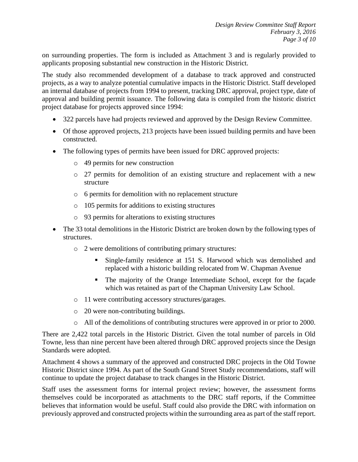on surrounding properties. The form is included as Attachment 3 and is regularly provided to applicants proposing substantial new construction in the Historic District.

The study also recommended development of a database to track approved and constructed projects, as a way to analyze potential cumulative impacts in the Historic District. Staff developed an internal database of projects from 1994 to present, tracking DRC approval, project type, date of approval and building permit issuance. The following data is compiled from the historic district project database for projects approved since 1994:

- 322 parcels have had projects reviewed and approved by the Design Review Committee.
- Of those approved projects, 213 projects have been issued building permits and have been constructed.
- The following types of permits have been issued for DRC approved projects:
	- o 49 permits for new construction
	- o 27 permits for demolition of an existing structure and replacement with a new structure
	- o 6 permits for demolition with no replacement structure
	- o 105 permits for additions to existing structures
	- o 93 permits for alterations to existing structures
- The 33 total demolitions in the Historic District are broken down by the following types of structures.
	- o 2 were demolitions of contributing primary structures:
		- Single-family residence at 151 S. Harwood which was demolished and replaced with a historic building relocated from W. Chapman Avenue
		- The majority of the Orange Intermediate School, except for the façade which was retained as part of the Chapman University Law School.
	- o 11 were contributing accessory structures/garages.
	- o 20 were non-contributing buildings.
	- o All of the demolitions of contributing structures were approved in or prior to 2000.

There are 2,422 total parcels in the Historic District. Given the total number of parcels in Old Towne, less than nine percent have been altered through DRC approved projects since the Design Standards were adopted.

Attachment 4 shows a summary of the approved and constructed DRC projects in the Old Towne Historic District since 1994. As part of the South Grand Street Study recommendations, staff will continue to update the project database to track changes in the Historic District.

Staff uses the assessment forms for internal project review; however, the assessment forms themselves could be incorporated as attachments to the DRC staff reports, if the Committee believes that information would be useful. Staff could also provide the DRC with information on previously approved and constructed projects within the surrounding area as part of the staff report.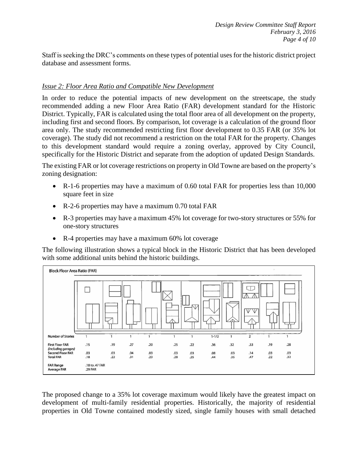Staff is seeking the DRC's comments on these types of potential uses for the historic district project database and assessment forms.

#### *Issue 2: Floor Area Ratio and Compatible New Development*

In order to reduce the potential impacts of new development on the streetscape, the study recommended adding a new Floor Area Ratio (FAR) development standard for the Historic District. Typically, FAR is calculated using the total floor area of all development on the property, including first and second floors. By comparison, lot coverage is a calculation of the ground floor area only. The study recommended restricting first floor development to 0.35 FAR (or 35% lot coverage). The study did not recommend a restriction on the total FAR for the property. Changes to this development standard would require a zoning overlay, approved by City Council, specifically for the Historic District and separate from the adoption of updated Design Standards.

The existing FAR or lot coverage restrictions on property in Old Towne are based on the property's zoning designation:

- R-1-6 properties may have a maximum of 0.60 total FAR for properties less than 10,000 square feet in size
- R-2-6 properties may have a maximum 0.70 total FAR
- R-3 properties may have a maximum 45% lot coverage for two-story structures or 55% for one-story structures
- R-4 properties may have a maximum 60% lot coverage

The following illustration shows a typical block in the Historic District that has been developed with some additional units behind the historic buildings.



The proposed change to a 35% lot coverage maximum would likely have the greatest impact on development of multi-family residential properties. Historically, the majority of residential properties in Old Towne contained modestly sized, single family houses with small detached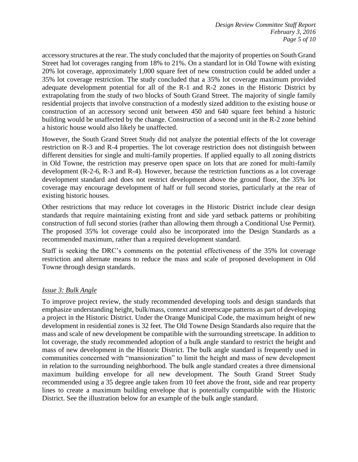accessory structures at the rear. The study concluded that the majority of properties on South Grand Street had lot coverages ranging from 18% to 21%. On a standard lot in Old Towne with existing 20% lot coverage, approximately 1,000 square feet of new construction could be added under a 35% lot coverage restriction. The study concluded that a 35% lot coverage maximum provided adequate development potential for all of the R-1 and R-2 zones in the Historic District by extrapolating from the study of two blocks of South Grand Street. The majority of single family residential projects that involve construction of a modestly sized addition to the existing house or construction of an accessory second unit between 450 and 640 square feet behind a historic building would be unaffected by the change. Construction of a second unit in the R-2 zone behind a historic house would also likely be unaffected.

However, the South Grand Street Study did not analyze the potential effects of the lot coverage restriction on R-3 and R-4 properties. The lot coverage restriction does not distinguish between different densities for single and multi-family properties. If applied equally to all zoning districts in Old Towne, the restriction may preserve open space on lots that are zoned for multi-family development (R-2-6, R-3 and R-4). However, because the restriction functions as a lot coverage development standard and does not restrict development above the ground floor, the 35% lot coverage may encourage development of half or full second stories, particularly at the rear of existing historic houses.

Other restrictions that may reduce lot coverages in the Historic District include clear design standards that require maintaining existing front and side yard setback patterns or prohibiting construction of full second stories (rather than allowing them through a Conditional Use Permit). The proposed 35% lot coverage could also be incorporated into the Design Standards as a recommended maximum, rather than a required development standard.

Staff is seeking the DRC's comments on the potential effectiveness of the 35% lot coverage restriction and alternate means to reduce the mass and scale of proposed development in Old Towne through design standards.

#### *Issue 3: Bulk Angle*

To improve project review, the study recommended developing tools and design standards that emphasize understanding height, bulk/mass, context and streetscape patterns as part of developing a project in the Historic District. Under the Orange Municipal Code, the maximum height of new development in residential zones is 32 feet. The Old Towne Design Standards also require that the mass and scale of new development be compatible with the surrounding streetscape. In addition to lot coverage, the study recommended adoption of a bulk angle standard to restrict the height and mass of new development in the Historic District. The bulk angle standard is frequently used in communities concerned with "mansionization" to limit the height and mass of new development in relation to the surrounding neighborhood. The bulk angle standard creates a three dimensional maximum building envelope for all new development. The South Grand Street Study recommended using a 35 degree angle taken from 10 feet above the front, side and rear property lines to create a maximum building envelope that is potentially compatible with the Historic District. See the illustration below for an example of the bulk angle standard.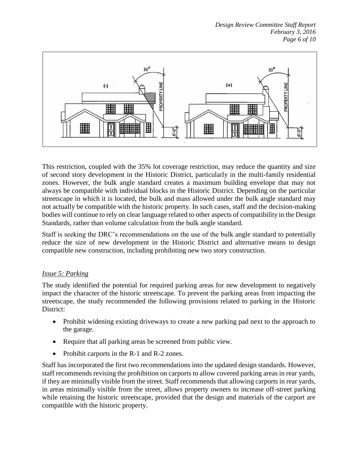

This restriction, coupled with the 35% lot coverage restriction, may reduce the quantity and size of second story development in the Historic District, particularly in the multi-family residential zones. However, the bulk angle standard creates a maximum building envelope that may not always be compatible with individual blocks in the Historic District. Depending on the particular streetscape in which it is located, the bulk and mass allowed under the bulk angle standard may not actually be compatible with the historic property. In such cases, staff and the decision-making bodies will continue to rely on clear language related to other aspects of compatibility in the Design Standards, rather than volume calculation from the bulk angle standard.

Staff is seeking the DRC's recommendations on the use of the bulk angle standard to potentially reduce the size of new development in the Historic District and alternative means to design compatible new construction, including prohibiting new two story construction.

#### *Issue 5: Parking*

The study identified the potential for required parking areas for new development to negatively impact the character of the historic streetscape. To prevent the parking areas from impacting the streetscape, the study recommended the following provisions related to parking in the Historic District:

- Prohibit widening existing driveways to create a new parking pad next to the approach to the garage.
- Require that all parking areas be screened from public view.
- Prohibit carports in the R-1 and R-2 zones.

Staff has incorporated the first two recommendations into the updated design standards. However, staff recommends revising the prohibition on carports to allow covered parking areas in rear yards, if they are minimally visible from the street. Staff recommends that allowing carports in rear yards, in areas minimally visible from the street, allows property owners to increase off-street parking while retaining the historic streetscape, provided that the design and materials of the carport are compatible with the historic property.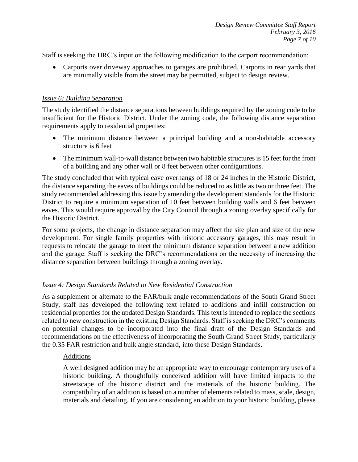Staff is seeking the DRC's input on the following modification to the carport recommendation:

 Carports over driveway approaches to garages are prohibited. Carports in rear yards that are minimally visible from the street may be permitted, subject to design review.

#### *Issue 6: Building Separation*

The study identified the distance separations between buildings required by the zoning code to be insufficient for the Historic District. Under the zoning code, the following distance separation requirements apply to residential properties:

- The minimum distance between a principal building and a non-habitable accessory structure is 6 feet
- The minimum wall-to-wall distance between two habitable structures is 15 feet for the front of a building and any other wall or 8 feet between other configurations.

The study concluded that with typical eave overhangs of 18 or 24 inches in the Historic District, the distance separating the eaves of buildings could be reduced to as little as two or three feet. The study recommended addressing this issue by amending the development standards for the Historic District to require a minimum separation of 10 feet between building walls and 6 feet between eaves. This would require approval by the City Council through a zoning overlay specifically for the Historic District.

For some projects, the change in distance separation may affect the site plan and size of the new development. For single family properties with historic accessory garages, this may result in requests to relocate the garage to meet the minimum distance separation between a new addition and the garage. Staff is seeking the DRC's recommendations on the necessity of increasing the distance separation between buildings through a zoning overlay.

#### *Issue 4: Design Standards Related to New Residential Construction*

As a supplement or alternate to the FAR/bulk angle recommendations of the South Grand Street Study, staff has developed the following text related to additions and infill construction on residential properties for the updated Design Standards. This text is intended to replace the sections related to new construction in the existing Design Standards. Staff is seeking the DRC's comments on potential changes to be incorporated into the final draft of the Design Standards and recommendations on the effectiveness of incorporating the South Grand Street Study, particularly the 0.35 FAR restriction and bulk angle standard, into these Design Standards.

#### Additions

A well designed addition may be an appropriate way to encourage contemporary uses of a historic building. A thoughtfully conceived addition will have limited impacts to the streetscape of the historic district and the materials of the historic building. The compatibility of an addition is based on a number of elements related to mass, scale, design, materials and detailing. If you are considering an addition to your historic building, please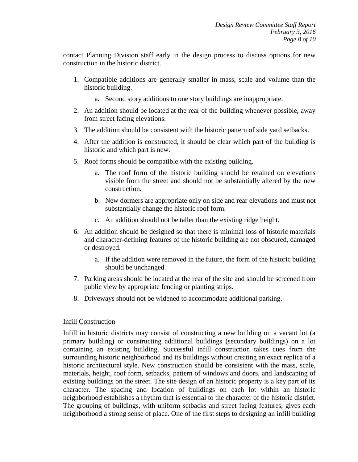contact Planning Division staff early in the design process to discuss options for new construction in the historic district.

- 1. Compatible additions are generally smaller in mass, scale and volume than the historic building.
	- a. Second story additions to one story buildings are inappropriate.
- 2. An addition should be located at the rear of the building whenever possible, away from street facing elevations.
- 3. The addition should be consistent with the historic pattern of side yard setbacks.
- 4. After the addition is constructed, it should be clear which part of the building is historic and which part is new.
- 5. Roof forms should be compatible with the existing building.
	- a. The roof form of the historic building should be retained on elevations visible from the street and should not be substantially altered by the new construction.
	- b. New dormers are appropriate only on side and rear elevations and must not substantially change the historic roof form.
	- c. An addition should not be taller than the existing ridge height.
- 6. An addition should be designed so that there is minimal loss of historic materials and character-defining features of the historic building are not obscured, damaged or destroyed.
	- a. If the addition were removed in the future, the form of the historic building should be unchanged.
- 7. Parking areas should be located at the rear of the site and should be screened from public view by appropriate fencing or planting strips.
- 8. Driveways should not be widened to accommodate additional parking.

#### Infill Construction

Infill in historic districts may consist of constructing a new building on a vacant lot (a primary building) or constructing additional buildings (secondary buildings) on a lot containing an existing building. Successful infill construction takes cues from the surrounding historic neighborhood and its buildings without creating an exact replica of a historic architectural style. New construction should be consistent with the mass, scale, materials, height, roof form, setbacks, pattern of windows and doors, and landscaping of existing buildings on the street. The site design of an historic property is a key part of its character. The spacing and location of buildings on each lot within an historic neighborhood establishes a rhythm that is essential to the character of the historic district. The grouping of buildings, with uniform setbacks and street facing features, gives each neighborhood a strong sense of place. One of the first steps to designing an infill building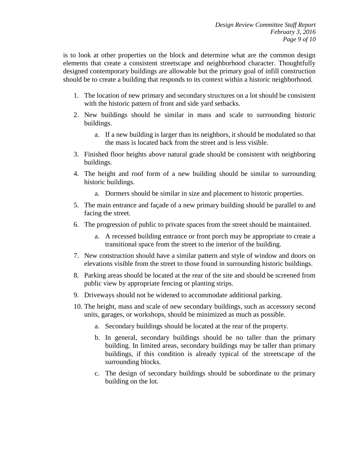is to look at other properties on the block and determine what are the common design elements that create a consistent streetscape and neighborhood character. Thoughtfully designed contemporary buildings are allowable but the primary goal of infill construction should be to create a building that responds to its context within a historic neighborhood.

- 1. The location of new primary and secondary structures on a lot should be consistent with the historic pattern of front and side yard setbacks.
- 2. New buildings should be similar in mass and scale to surrounding historic buildings.
	- a. If a new building is larger than its neighbors, it should be modulated so that the mass is located back from the street and is less visible.
- 3. Finished floor heights above natural grade should be consistent with neighboring buildings.
- 4. The height and roof form of a new building should be similar to surrounding historic buildings.
	- a. Dormers should be similar in size and placement to historic properties.
- 5. The main entrance and façade of a new primary building should be parallel to and facing the street.
- 6. The progression of public to private spaces from the street should be maintained.
	- a. A recessed building entrance or front porch may be appropriate to create a transitional space from the street to the interior of the building.
- 7. New construction should have a similar pattern and style of window and doors on elevations visible from the street to those found in surrounding historic buildings.
- 8. Parking areas should be located at the rear of the site and should be screened from public view by appropriate fencing or planting strips.
- 9. Driveways should not be widened to accommodate additional parking.
- 10. The height, mass and scale of new secondary buildings, such as accessory second units, garages, or workshops, should be minimized as much as possible.
	- a. Secondary buildings should be located at the rear of the property.
	- b. In general, secondary buildings should be no taller than the primary building. In limited areas, secondary buildings may be taller than primary buildings, if this condition is already typical of the streetscape of the surrounding blocks.
	- c. The design of secondary buildings should be subordinate to the primary building on the lot.